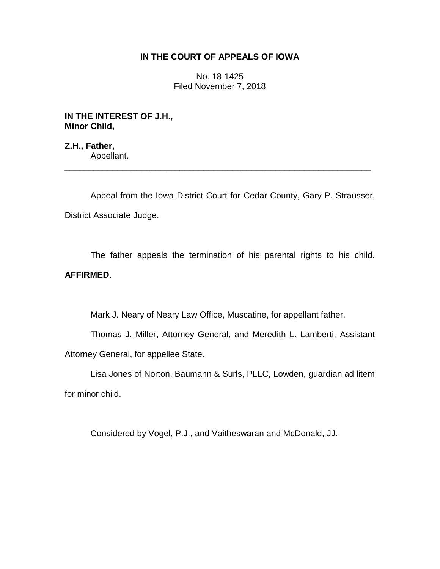# **IN THE COURT OF APPEALS OF IOWA**

No. 18-1425 Filed November 7, 2018

**IN THE INTEREST OF J.H., Minor Child,**

**Z.H., Father,** Appellant. \_\_\_\_\_\_\_\_\_\_\_\_\_\_\_\_\_\_\_\_\_\_\_\_\_\_\_\_\_\_\_\_\_\_\_\_\_\_\_\_\_\_\_\_\_\_\_\_\_\_\_\_\_\_\_\_\_\_\_\_\_\_\_\_

Appeal from the Iowa District Court for Cedar County, Gary P. Strausser, District Associate Judge.

The father appeals the termination of his parental rights to his child. **AFFIRMED**.

Mark J. Neary of Neary Law Office, Muscatine, for appellant father.

Thomas J. Miller, Attorney General, and Meredith L. Lamberti, Assistant Attorney General, for appellee State.

Lisa Jones of Norton, Baumann & Surls, PLLC, Lowden, guardian ad litem for minor child.

Considered by Vogel, P.J., and Vaitheswaran and McDonald, JJ.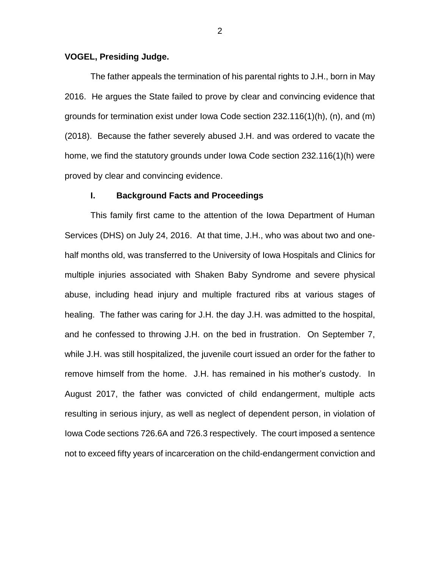#### **VOGEL, Presiding Judge.**

The father appeals the termination of his parental rights to J.H., born in May 2016. He argues the State failed to prove by clear and convincing evidence that grounds for termination exist under Iowa Code section 232.116(1)(h), (n), and (m) (2018). Because the father severely abused J.H. and was ordered to vacate the home, we find the statutory grounds under Iowa Code section 232.116(1)(h) were proved by clear and convincing evidence.

#### **I. Background Facts and Proceedings**

This family first came to the attention of the Iowa Department of Human Services (DHS) on July 24, 2016. At that time, J.H., who was about two and onehalf months old, was transferred to the University of Iowa Hospitals and Clinics for multiple injuries associated with Shaken Baby Syndrome and severe physical abuse, including head injury and multiple fractured ribs at various stages of healing. The father was caring for J.H. the day J.H. was admitted to the hospital, and he confessed to throwing J.H. on the bed in frustration. On September 7, while J.H. was still hospitalized, the juvenile court issued an order for the father to remove himself from the home. J.H. has remained in his mother's custody. In August 2017, the father was convicted of child endangerment, multiple acts resulting in serious injury, as well as neglect of dependent person, in violation of Iowa Code sections 726.6A and 726.3 respectively. The court imposed a sentence not to exceed fifty years of incarceration on the child-endangerment conviction and

2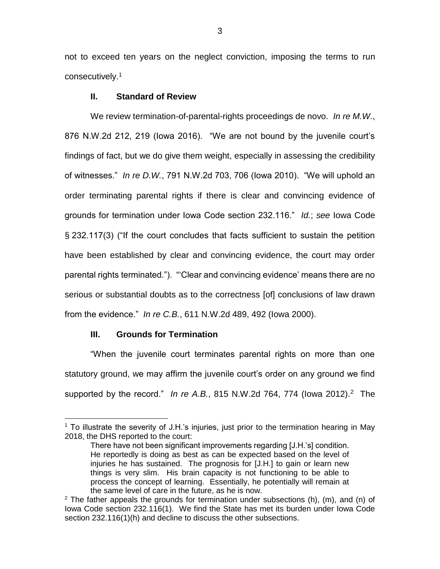not to exceed ten years on the neglect conviction, imposing the terms to run consecutively.<sup>1</sup>

## **II. Standard of Review**

We review termination-of-parental-rights proceedings de novo. *In re M.W.*, 876 N.W.2d 212, 219 (Iowa 2016). "We are not bound by the juvenile court's findings of fact, but we do give them weight, especially in assessing the credibility of witnesses." *In re D.W.*, 791 N.W.2d 703, 706 (Iowa 2010). "We will uphold an order terminating parental rights if there is clear and convincing evidence of grounds for termination under Iowa Code section 232.116." *Id.*; *see* Iowa Code § 232.117(3) ("If the court concludes that facts sufficient to sustain the petition have been established by clear and convincing evidence, the court may order parental rights terminated."). "'Clear and convincing evidence' means there are no serious or substantial doubts as to the correctness [of] conclusions of law drawn from the evidence." *In re C.B.*, 611 N.W.2d 489, 492 (Iowa 2000).

#### **III. Grounds for Termination**

 $\overline{a}$ 

"When the juvenile court terminates parental rights on more than one statutory ground, we may affirm the juvenile court's order on any ground we find supported by the record." In re A.B., 815 N.W.2d 764, 774 (lowa 2012).<sup>2</sup> The

<sup>&</sup>lt;sup>1</sup> To illustrate the severity of J.H.'s injuries, just prior to the termination hearing in May 2018, the DHS reported to the court:

There have not been significant improvements regarding [J.H.'s] condition. He reportedly is doing as best as can be expected based on the level of injuries he has sustained. The prognosis for [J.H.] to gain or learn new things is very slim. His brain capacity is not functioning to be able to process the concept of learning. Essentially, he potentially will remain at the same level of care in the future, as he is now.

 $2$  The father appeals the grounds for termination under subsections (h), (m), and (n) of Iowa Code section 232.116(1). We find the State has met its burden under Iowa Code section 232.116(1)(h) and decline to discuss the other subsections.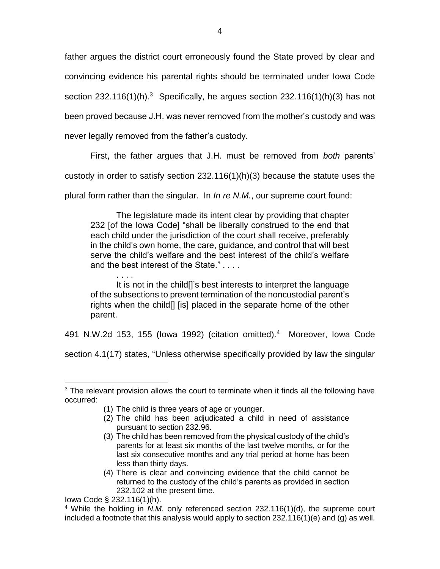father argues the district court erroneously found the State proved by clear and convincing evidence his parental rights should be terminated under Iowa Code section 232.116(1)(h).<sup>3</sup> Specifically, he argues section 232.116(1)(h)(3) has not been proved because J.H. was never removed from the mother's custody and was never legally removed from the father's custody.

First, the father argues that J.H. must be removed from *both* parents'

custody in order to satisfy section 232.116(1)(h)(3) because the statute uses the

plural form rather than the singular. In *In re N.M.*, our supreme court found:

The legislature made its intent clear by providing that chapter 232 [of the Iowa Code] "shall be liberally construed to the end that each child under the jurisdiction of the court shall receive, preferably in the child's own home, the care, guidance, and control that will best serve the child's welfare and the best interest of the child's welfare and the best interest of the State." . . . .

. . . . It is not in the child[]'s best interests to interpret the language of the subsections to prevent termination of the noncustodial parent's rights when the child[] [is] placed in the separate home of the other parent.

491 N.W.2d 153, 155 (Iowa 1992) (citation omitted).<sup>4</sup> Moreover, Iowa Code

section 4.1(17) states, "Unless otherwise specifically provided by law the singular

- (2) The child has been adjudicated a child in need of assistance pursuant to section 232.96.
- (3) The child has been removed from the physical custody of the child's parents for at least six months of the last twelve months, or for the last six consecutive months and any trial period at home has been less than thirty days.
- (4) There is clear and convincing evidence that the child cannot be returned to the custody of the child's parents as provided in section 232.102 at the present time.

 $\overline{a}$  $3$  The relevant provision allows the court to terminate when it finds all the following have occurred:

<sup>(1)</sup> The child is three years of age or younger.

Iowa Code § 232.116(1)(h).

<sup>&</sup>lt;sup>4</sup> While the holding in *N.M.* only referenced section 232.116(1)(d), the supreme court included a footnote that this analysis would apply to section  $232.116(1)(e)$  and (g) as well.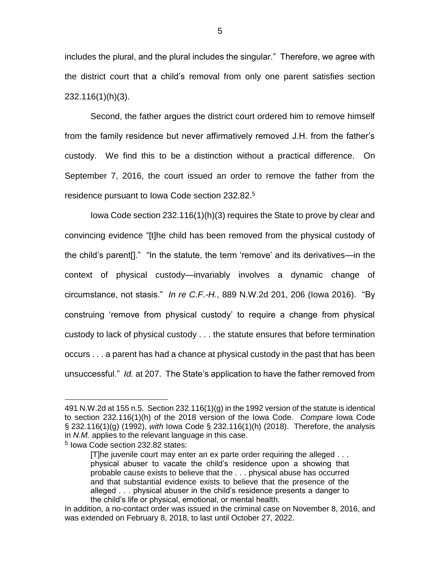includes the plural, and the plural includes the singular." Therefore, we agree with the district court that a child's removal from only one parent satisfies section 232.116(1)(h)(3).

Second, the father argues the district court ordered him to remove himself from the family residence but never affirmatively removed J.H. from the father's custody. We find this to be a distinction without a practical difference. On September 7, 2016, the court issued an order to remove the father from the residence pursuant to Iowa Code section 232.82.<sup>5</sup>

Iowa Code section 232.116(1)(h)(3) requires the State to prove by clear and convincing evidence "[t]he child has been removed from the physical custody of the child's parent[]." "In the statute, the term 'remove' and its derivatives—in the context of physical custody—invariably involves a dynamic change of circumstance, not stasis." *In re C.F.-H.*, 889 N.W.2d 201, 206 (Iowa 2016). "By construing 'remove from physical custody' to require a change from physical custody to lack of physical custody . . . the statute ensures that before termination occurs . . . a parent has had a chance at physical custody in the past that has been unsuccessful." *Id.* at 207. The State's application to have the father removed from

 $\overline{a}$ 

<sup>491</sup> N.W.2d at 155 n.5. Section 232.116(1)(g) in the 1992 version of the statute is identical to section 232.116(1)(h) of the 2018 version of the Iowa Code. *Compare* Iowa Code § 232.116(1)(g) (1992), *with* Iowa Code § 232.116(1)(h) (2018). Therefore, the analysis in *N.M.* applies to the relevant language in this case.

<sup>5</sup> Iowa Code section 232.82 states:

<sup>[</sup>T]he juvenile court may enter an ex parte order requiring the alleged . . . physical abuser to vacate the child's residence upon a showing that probable cause exists to believe that the . . . physical abuse has occurred and that substantial evidence exists to believe that the presence of the alleged . . . physical abuser in the child's residence presents a danger to the child's life or physical, emotional, or mental health.

In addition, a no-contact order was issued in the criminal case on November 8, 2016, and was extended on February 8, 2018, to last until October 27, 2022.